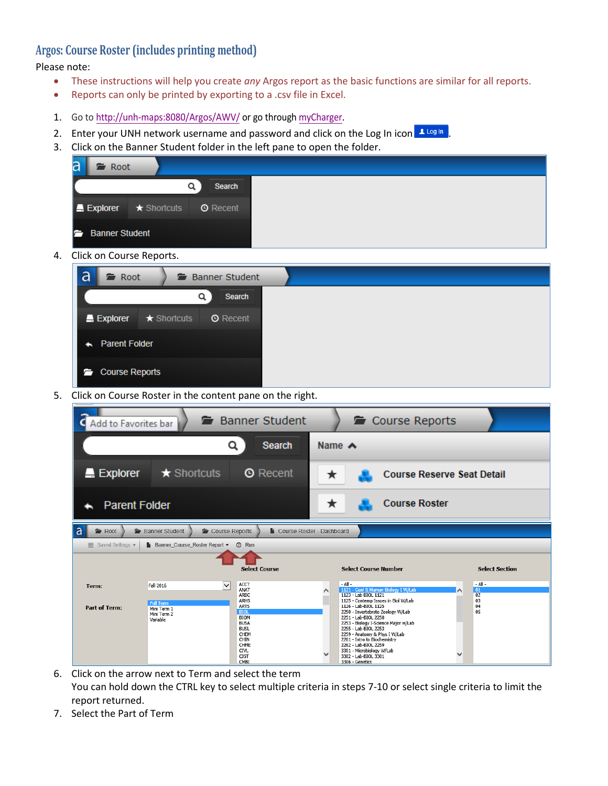## **Argos: Course Roster (includes printing method)**

Please note:

- These instructions will help you create *any* Argos report as the basic functions are similar for all reports.
- Reports can only be printed by exporting to a .csv file in Excel.
- 1. Go t[o http://unh-maps:8080/Argos/AWV/](http://unh-maps:8080/Argos/AWV/) or go through [myCharger.](https://mycharger.newhaven.edu/)
- 2. Enter your UNH network username and password and click on the Log In icon Allog In
- 3. Click on the Banner Student folder in the left pane to open the folder.

| a<br>Root                   |                   |                 |
|-----------------------------|-------------------|-----------------|
|                             |                   | Search          |
| $\blacksquare$ Explorer     | $\star$ Shortcuts | <b>O</b> Recent |
| <b>Banner Student</b><br>Ē. |                   |                 |

4. Click on Course Reports.



5. Click on Course Roster in the content pane on the right.

| Add to Favorites bar           |                                                                              | Banner Student                                                                                                                                                               | Course Reports                                                                                                                                                                                                                                                                                                                                                                                                                                                                                    |
|--------------------------------|------------------------------------------------------------------------------|------------------------------------------------------------------------------------------------------------------------------------------------------------------------------|---------------------------------------------------------------------------------------------------------------------------------------------------------------------------------------------------------------------------------------------------------------------------------------------------------------------------------------------------------------------------------------------------------------------------------------------------------------------------------------------------|
|                                | Q                                                                            | <b>Search</b>                                                                                                                                                                | Name $\triangle$                                                                                                                                                                                                                                                                                                                                                                                                                                                                                  |
| $\blacksquare$ Explorer        | $\star$ Shortcuts                                                            | <b>O</b> Recent                                                                                                                                                              | <b>Course Reserve Seat Detail</b><br>★                                                                                                                                                                                                                                                                                                                                                                                                                                                            |
| <b>Parent Folder</b>           |                                                                              |                                                                                                                                                                              | <b>Course Roster</b><br>★                                                                                                                                                                                                                                                                                                                                                                                                                                                                         |
| a<br><b>■</b> Root             | Banner Student<br>Course Reports                                             |                                                                                                                                                                              | <b>L</b> Course Roster - Dashboard                                                                                                                                                                                                                                                                                                                                                                                                                                                                |
| $\equiv$ Saved Settings $\sim$ | Banner Course Roster Report -                                                | <b><i>O</i></b> Run<br><b>Select Course</b>                                                                                                                                  | <b>Select Course Number</b><br><b>Select Section</b>                                                                                                                                                                                                                                                                                                                                                                                                                                              |
| Term:<br><b>Part of Term:</b>  | ◡<br>Fall 2016<br><b>Full Term</b><br>Mini Term 1<br>Mini Term 2<br>Variable | <b>ACCT</b><br>ANAT<br>ARBC<br><b>ARHS</b><br><b>ARTS</b><br><b>BIOL</b><br><b>BIOM</b><br><b>BUSA</b><br><b>BUSL</b><br>CHEM<br>CHIN<br>CHME<br><b>CTVL</b><br>CJST<br>CMBI | $-$ All $-$<br>- All -<br>1121 - Genl & Human Biology I W/Lab<br> 01<br>1123 - Lab-BIOL 1121<br>02<br>03<br>1125 - Contemp Issues in Biol W/Lab<br>04<br>1126 - Lab-BIOL 1125<br>2250 - Invertebrate Zoology W/Lab<br>05<br>2251 - Lab-BIOL 2250<br>2253 - Biology I-Science Major w/Lab<br>2255 - Lab-BIOL 2253<br>2259 - Anatomy & Phys I W/Lab<br>2261 - Intro to Biochemistry<br>2262 - Lab-BIOL 2259<br>3301 - Microbiology W/Lab<br>$\checkmark$<br>3302 - Lab-BIOL 3301<br>3306 - Genetics |

- 6. Click on the arrow next to Term and select the term You can hold down the CTRL key to select multiple criteria in steps 7-10 or select single criteria to limit the report returned.
- 7. Select the Part of Term